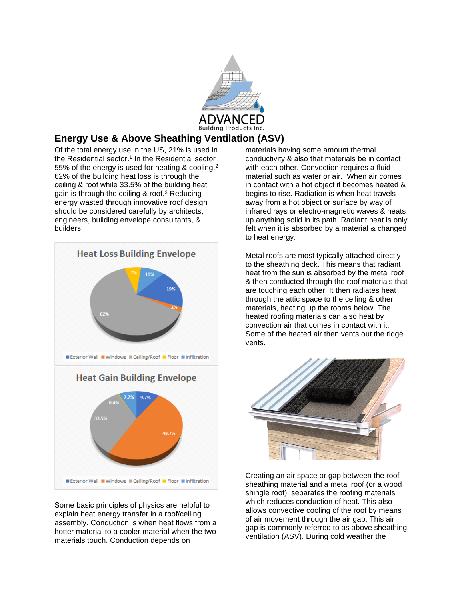

## **Energy Use & Above Sheathing Ventilation (ASV)**

Of the total energy use in the US, 21% is used in the Residential sector.<sup>1</sup> In the Residential sector 55% of the energy is used for heating & cooling. $2$ 62% of the building heat loss is through the ceiling & roof while 33.5% of the building heat gain is through the ceiling & roof.<sup>3</sup> Reducing energy wasted through innovative roof design should be considered carefully by architects, engineers, building envelope consultants, & builders.



Some basic principles of physics are helpful to explain heat energy transfer in a roof/ceiling assembly. Conduction is when heat flows from a hotter material to a cooler material when the two materials touch. Conduction depends on

materials having some amount thermal conductivity & also that materials be in contact with each other. Convection requires a fluid material such as water or air. When air comes in contact with a hot object it becomes heated & begins to rise. Radiation is when heat travels away from a hot object or surface by way of infrared rays or electro-magnetic waves & heats up anything solid in its path. Radiant heat is only felt when it is absorbed by a material & changed to heat energy.

Metal roofs are most typically attached directly to the sheathing deck. This means that radiant heat from the sun is absorbed by the metal roof & then conducted through the roof materials that are touching each other. It then radiates heat through the attic space to the ceiling & other materials, heating up the rooms below. The heated roofing materials can also heat by convection air that comes in contact with it. Some of the heated air then vents out the ridge vents.



Creating an air space or gap between the roof sheathing material and a metal roof (or a wood shingle roof), separates the roofing materials which reduces conduction of heat. This also allows convective cooling of the roof by means of air movement through the air gap. This air gap is commonly referred to as above sheathing ventilation (ASV). During cold weather the